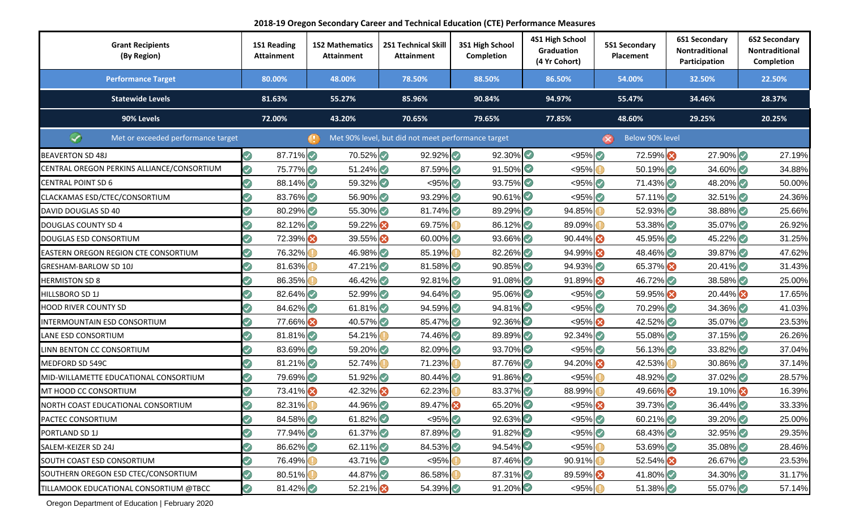**2018-19 Oregon Secondary Career and Technical Education (CTE) Performance Measures**

| <b>Grant Recipients</b><br>(By Region)     | 1S1 Reading<br><b>Attainment</b> | <b>1S2 Mathematics</b><br><b>Attainment</b> | <b>2S1 Technical Skill</b><br><b>Attainment</b>    | 3S1 High School<br>Completion | 4S1 High School<br>Graduation<br>(4 Yr Cohort) | <b>5S1 Secondary</b><br><b>Placement</b> | <b>6S1 Secondary</b><br>Nontraditional<br>Participation | <b>6S2 Secondary</b><br>Nontraditional<br>Completion |
|--------------------------------------------|----------------------------------|---------------------------------------------|----------------------------------------------------|-------------------------------|------------------------------------------------|------------------------------------------|---------------------------------------------------------|------------------------------------------------------|
| <b>Performance Target</b>                  | 80.00%                           | 48.00%                                      | 78.50%                                             | 88.50%                        | 86.50%                                         | 54.00%                                   | 32.50%                                                  | 22.50%                                               |
| <b>Statewide Levels</b>                    | 81.63%                           | 55.27%                                      | 85.96%                                             | 90.84%                        | 94.97%                                         | 55.47%                                   | 34.46%                                                  | 28.37%                                               |
| 90% Levels                                 | 72.00%                           | 43.20%                                      | 70.65%                                             | 79.65%                        | 77.85%                                         | 48.60%                                   | 29.25%                                                  | 20.25%                                               |
| ∞<br>Met or exceeded performance target    |                                  |                                             | Met 90% level, but did not meet performance target |                               |                                                | Below 90% level<br>$(\infty)$            |                                                         |                                                      |
| <b>BEAVERTON SD 48J</b>                    | の<br>$87.71\%$                   | 70.52%                                      | $92.92\%$                                          | $92.30\%$                     | $< 95\%$                                       | 72.59%                                   | $27.90\%$                                               | 27.19%                                               |
| CENTRAL OREGON PERKINS ALLIANCE/CONSORTIUM | ☑<br>75.77%                      | $51.24\%$                                   | 87.59%                                             | $91.50\%$                     | < 95%                                          | 50.19%                                   | $34.60\%$                                               | 34.88%                                               |
| <b>CENTRAL POINT SD 6</b>                  | $88.14\%$                        | 59.32%                                      | $<$ 95% $\odot$                                    | $93.75\%$                     | $< 95\%$                                       | $71.43\%$                                | 48.20%                                                  | 50.00%                                               |
| CLACKAMAS ESD/CTEC/CONSORTIUM              | 83.76%                           | 56.90%                                      | $93.29\%$                                          | $90.61\%$                     | $< 95\%$                                       | $57.11\%$                                | $32.51\%$                                               | 24.36%                                               |
| DAVID DOUGLAS SD 40                        | 80.29%                           | 55.30%                                      | 81.74%                                             | 89.29%                        | 94.85%                                         | 52.93%                                   | 38.88%                                                  | 25.66%                                               |
| <b>DOUGLAS COUNTY SD 4</b>                 | 82.12%                           | 59.22%                                      | 69.75%                                             | 86.12%                        | 89.09%                                         | $53.38\%$                                | 35.07%                                                  | 26.92%                                               |
| DOUGLAS ESD CONSORTIUM                     | 72.39%                           | 39.55%                                      | $60.00\%$                                          | $93.66\%$                     | $90.44\%$                                      | 45.95%                                   | 45.22%                                                  | 31.25%                                               |
| EASTERN OREGON REGION CTE CONSORTIUM       | 76.32%                           | 46.98%                                      | 85.19%                                             | 82.26%                        | 94.99%                                         | 48.46%                                   | 39.87%                                                  | 47.62%                                               |
| GRESHAM-BARLOW SD 10J                      | 81.63%                           | $47.21\%$                                   | 81.58%                                             | $90.85\%$                     | $94.93\%$                                      | 65.37%                                   | $20.41\%$                                               | 31.43%                                               |
| <b>HERMISTON SD 8</b>                      | 86.35%                           | 46.42%                                      | $92.81\%$                                          | $91.08\%$                     | $91.89\%$                                      | 46.72%                                   | 38.58%                                                  | 25.00%                                               |
| <b>IILLSBORO SD 1J</b>                     | 82.64%                           | 52.99%                                      | $94.64\%$                                          | $95.06\%$                     | $< 95\%$                                       | 59.95%                                   | 20.44%                                                  | 17.65%                                               |
| HOOD RIVER COUNTY SD                       | 84.62%                           | 61.81%                                      | 94.59%                                             | 94.81%                        | $< 95\%$                                       | 70.29%                                   | $34.36\%$                                               | 41.03%                                               |
| INTERMOUNTAIN ESD CONSORTIUM               | 77.66%                           | 40.57%                                      | 85.47%                                             | 92.36%                        | $< 95\%$                                       | 42.52%                                   | 35.07%                                                  | 23.53%                                               |
| LANE ESD CONSORTIUM                        | 81.81%                           | 54.21%                                      | 74.46%                                             | 89.89%                        | $92.34\%$                                      | $55.08\%$                                | $37.15\%$                                               | 26.26%                                               |
| INN BENTON CC CONSORTIUM                   | 83.69%                           | 59.20%                                      | 82.09%                                             | $93.70\%$                     | $< 95\%$                                       | $56.13\%$                                | $33.82\%$                                               | 37.04%                                               |
| MEDFORD SD 549C                            | 81.21%                           | 52.74%                                      | 71.23%                                             | 87.76%                        | 94.20%                                         | 42.53%                                   | $30.86\%$                                               | 37.14%                                               |
| MID-WILLAMETTE EDUCATIONAL CONSORTIUM      | 79.69%                           | $51.92\%$                                   | $80.44\%$                                          | $91.86\%$                     | < 95%                                          | 48.92%                                   | $37.02\%$                                               | 28.57%                                               |
| MT HOOD CC CONSORTIUM                      | 73.41%                           | 42.32%                                      | 62.23%                                             | $83.37\%$                     | 88.99%                                         | 49.66%                                   | $19.10\%$                                               | 16.39%                                               |
| NORTH COAST EDUCATIONAL CONSORTIUM         | 82.31%                           | 44.96%                                      | 89.47%                                             | 65.20%                        | $< 95\%$                                       | 39.73%                                   | 36.44%                                                  | 33.33%                                               |
| PACTEC CONSORTIUM                          | 84.58%                           | 61.82%                                      | $< 95\%$                                           | 92.63%                        | $< 95\%$                                       | $60.21\%$                                | 39.20%                                                  | 25.00%                                               |
| PORTLAND SD 1J                             | 77.94%<br>7                      | 61.37%                                      | 87.89%                                             | $91.82\%$                     | $< 95\%$                                       | 68.43%                                   | $32.95\%$                                               | 29.35%                                               |
| SALEM-KEIZER SD 24J                        | 86.62%                           | 62.11%                                      | 84.53%                                             | $94.54\%$                     | < 95%                                          | $53.69\%$                                | 35.08%                                                  | 28.46%                                               |
| SOUTH COAST ESD CONSORTIUM                 | 76.49%                           | 43.71%                                      | < 95%                                              | 87.46%                        | 90.91%                                         | 52.54%                                   | 26.67%                                                  | 23.53%                                               |
| SOUTHERN OREGON ESD CTEC/CONSORTIUM        | 80.51%                           | 44.87%                                      | 86.58%                                             | 87.31%                        | 89.59%                                         | 41.80%                                   | 34.30%                                                  | 31.17%                                               |
| TILLAMOOK EDUCATIONAL CONSORTIUM @TBCC     | 81.42%<br>☑                      | 52.21%                                      | 54.39%                                             | $91.20\%$                     | < 95%                                          | $51.38\%$                                | 55.07%                                                  | 57.14%                                               |

Oregon Department of Education | February 2020